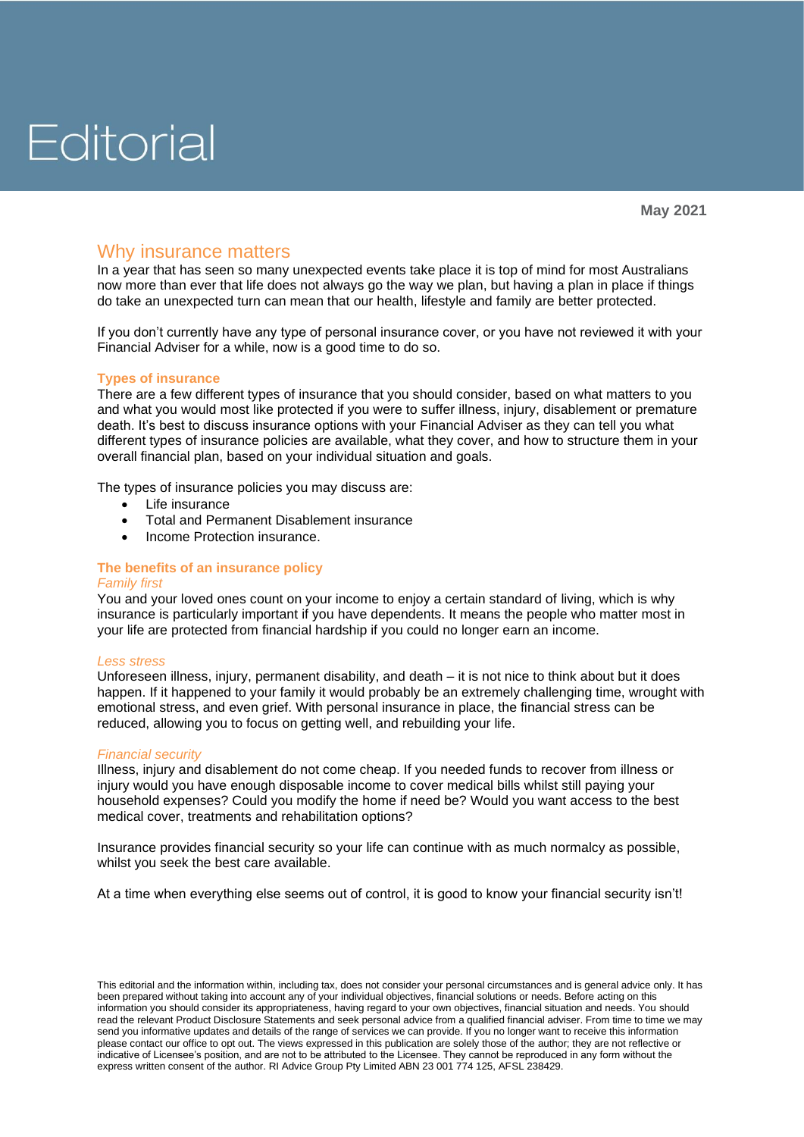# Editorial

### Why insurance matters

In a vear that has seen so many unexpected events take place it is top of mind for most Australians now more than ever that life does not always go the way we plan, but having a plan in place if things do take an unexpected turn can mean that our health, lifestyle and family are better protected.

If you don't currently have any type of personal insurance cover, or you have not reviewed it with your Financial Adviser for a while, now is a good time to do so.

#### **Types of insurance**

There are a few different types of insurance that you should consider, based on what matters to you and what you would most like protected if you were to suffer illness, injury, disablement or premature death. It's best to discuss insurance options with your Financial Adviser as they can tell you what different types of insurance policies are available, what they cover, and how to structure them in your overall financial plan, based on your individual situation and goals.

The types of insurance policies you may discuss are:

- Life insurance
- Total and Permanent Disablement insurance
- Income Protection insurance.

### **The benefits of an insurance policy**

#### *Family first*

You and your loved ones count on your income to enjoy a certain standard of living, which is why insurance is particularly important if you have dependents. It means the people who matter most in your life are protected from financial hardship if you could no longer earn an income.

#### *Less stress*

Unforeseen illness, injury, permanent disability, and death – it is not nice to think about but it does happen. If it happened to your family it would probably be an extremely challenging time, wrought with emotional stress, and even grief. With personal insurance in place, the financial stress can be reduced, allowing you to focus on getting well, and rebuilding your life.

#### *Financial security*

Illness, injury and disablement do not come cheap. If you needed funds to recover from illness or injury would you have enough disposable income to cover medical bills whilst still paying your household expenses? Could you modify the home if need be? Would you want access to the best medical cover, treatments and rehabilitation options?

Insurance provides financial security so your life can continue with as much normalcy as possible, whilst you seek the best care available.

At a time when everything else seems out of control, it is good to know your financial security isn't!

This editorial and the information within, including tax, does not consider your personal circumstances and is general advice only. It has been prepared without taking into account any of your individual objectives, financial solutions or needs. Before acting on this information you should consider its appropriateness, having regard to your own objectives, financial situation and needs. You should read the relevant Product Disclosure Statements and seek personal advice from a qualified financial adviser. From time to time we may send you informative updates and details of the range of services we can provide. If you no longer want to receive this information please contact our office to opt out. The views expressed in this publication are solely those of the author; they are not reflective or indicative of Licensee's position, and are not to be attributed to the Licensee. They cannot be reproduced in any form without the express written consent of the author. RI Advice Group Pty Limited ABN 23 001 774 125, AFSL 238429.